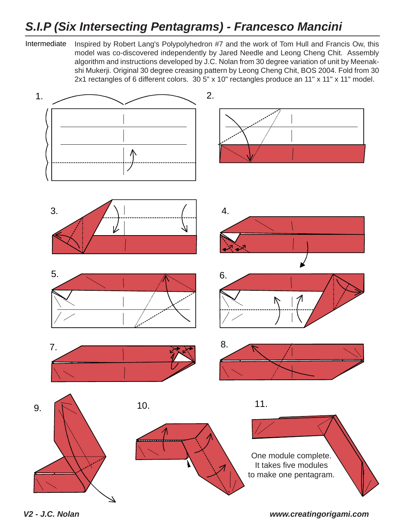## *S.I.P (Six Intersecting Pentagrams) - Francesco Mancini*

Intermediate Inspired by Robert Lang's Polypolyhedron #7 and the work of Tom Hull and Francis Ow, this model was co-discovered independently by Jared Needle and Leong Cheng Chit. Assembly algorithm and instructions developed by J.C. Nolan from 30 degree variation of unit by Meenakshi Mukerji. Original 30 degree creasing pattern by Leong Cheng Chit, BOS 2004. Fold from 30 2x1 rectangles of 6 different colors. 30 5" x 10" rectangles produce an 11" x 11" x 11" model.



*V2 - J.C. Nolan www.creatingorigami.com*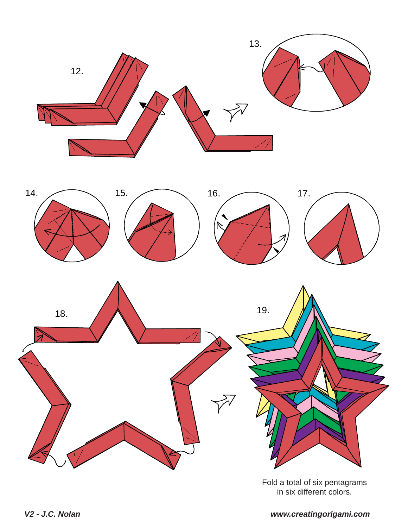

Fold a total of six pentagrams in six different colors.

## *V2 - J.C. Nolan www.creatingorigami.com*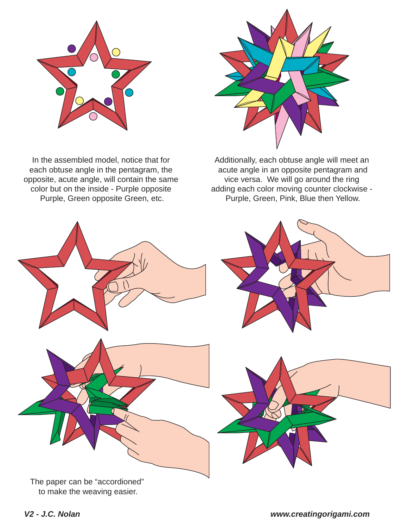

In the assembled model, notice that for each obtuse angle in the pentagram, the opposite, acute angle, will contain the same color but on the inside - Purple opposite Purple, Green opposite Green, etc.

Additionally, each obtuse angle will meet an acute angle in an opposite pentagram and vice versa. We will go around the ring adding each color moving counter clockwise - Purple, Green, Pink, Blue then Yellow.



to make the weaving easier.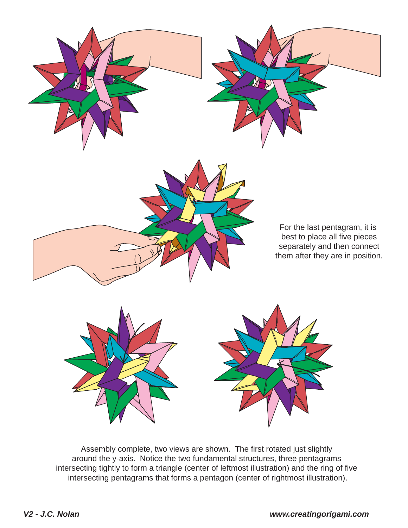

Assembly complete, two views are shown. The first rotated just slightly around the y-axis. Notice the two fundamental structures, three pentagrams intersecting tightly to form a triangle (center of leftmost illustration) and the ring of five intersecting pentagrams that forms a pentagon (center of rightmost illustration).